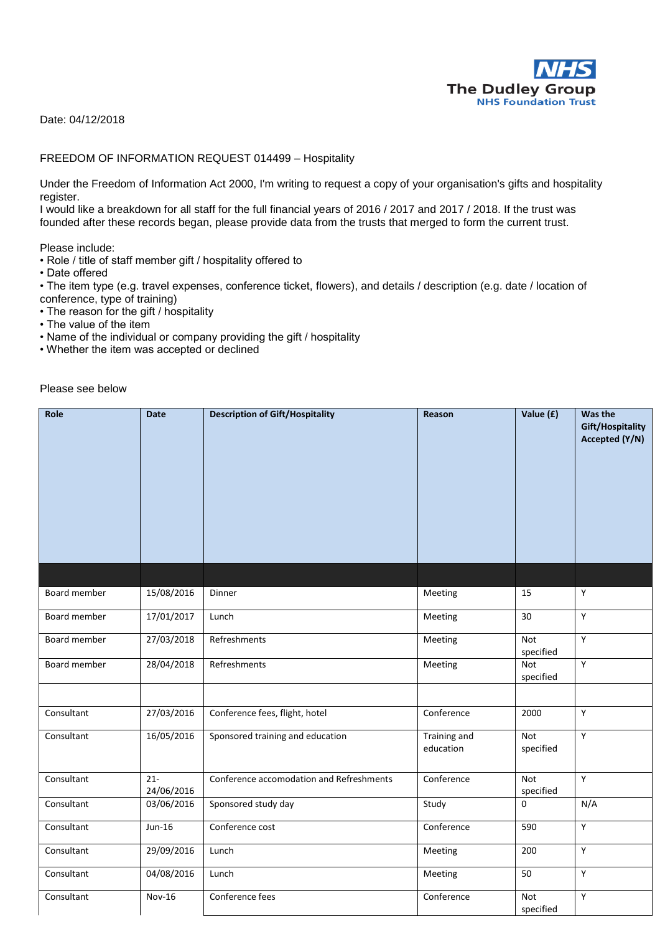

Date: 04/12/2018

## FREEDOM OF INFORMATION REQUEST 014499 – Hospitality

Under the Freedom of Information Act 2000, I'm writing to request a copy of your organisation's gifts and hospitality register.

I would like a breakdown for all staff for the full financial years of 2016 / 2017 and 2017 / 2018. If the trust was founded after these records began, please provide data from the trusts that merged to form the current trust.

Please include:

- Role / title of staff member gift / hospitality offered to
- Date offered

• The item type (e.g. travel expenses, conference ticket, flowers), and details / description (e.g. date / location of conference, type of training)

- The reason for the gift / hospitality
- The value of the item
- Name of the individual or company providing the gift / hospitality
- Whether the item was accepted or declined

Please see below

| Role         | <b>Date</b>                   | <b>Description of Gift/Hospitality</b>   | Reason                    | Value (£)        | Was the<br>Gift/Hospitality<br>Accepted (Y/N) |
|--------------|-------------------------------|------------------------------------------|---------------------------|------------------|-----------------------------------------------|
|              |                               |                                          |                           |                  |                                               |
| Board member | 15/08/2016                    | Dinner                                   | Meeting                   | 15               | Y                                             |
| Board member | 17/01/2017                    | Lunch                                    | Meeting                   | 30               | Y                                             |
| Board member | 27/03/2018                    | Refreshments                             | Meeting                   | Not<br>specified | Y                                             |
| Board member | 28/04/2018                    | Refreshments                             | Meeting                   | Not<br>specified | Y                                             |
|              |                               |                                          |                           |                  |                                               |
| Consultant   | 27/03/2016                    | Conference fees, flight, hotel           | Conference                | 2000             | Y                                             |
| Consultant   | 16/05/2016                    | Sponsored training and education         | Training and<br>education | Not<br>specified | Y                                             |
| Consultant   | $\overline{21}$<br>24/06/2016 | Conference accomodation and Refreshments | Conference                | Not<br>specified | Y                                             |
| Consultant   | 03/06/2016                    | Sponsored study day                      | Study                     | 0                | N/A                                           |
| Consultant   | $Jun-16$                      | Conference cost                          | Conference                | 590              | Y                                             |
| Consultant   | 29/09/2016                    | Lunch                                    | Meeting                   | 200              | $\overline{Y}$                                |
| Consultant   | 04/08/2016                    | Lunch                                    | Meeting                   | 50               | Y                                             |
| Consultant   | Nov-16                        | Conference fees                          | Conference                | Not<br>specified | Y                                             |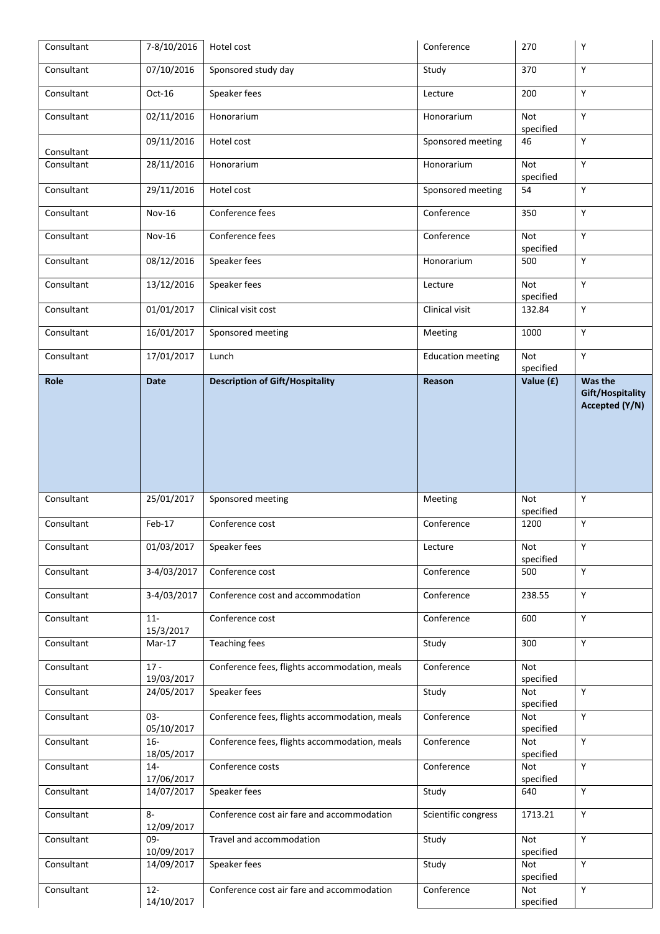| Consultant | 7-8/10/2016              | Hotel cost                                    | Conference               | 270                                  | Y                                                    |
|------------|--------------------------|-----------------------------------------------|--------------------------|--------------------------------------|------------------------------------------------------|
| Consultant | 07/10/2016               | Sponsored study day                           | Study                    | 370                                  | Y                                                    |
| Consultant | Oct-16                   | Speaker fees                                  | Lecture                  | 200                                  | Y                                                    |
| Consultant | 02/11/2016               | Honorarium                                    | Honorarium               | Not<br>specified                     | Y                                                    |
| Consultant | 09/11/2016               | Hotel cost                                    | Sponsored meeting        | 46                                   | Y                                                    |
| Consultant | 28/11/2016               | Honorarium                                    | Honorarium               | <b>Not</b><br>specified              | Y                                                    |
| Consultant | 29/11/2016               | Hotel cost                                    | Sponsored meeting        | 54                                   | Y                                                    |
| Consultant | Nov-16                   | Conference fees                               | Conference               | 350                                  | Y                                                    |
| Consultant | Nov-16                   | Conference fees                               | Conference               | Not<br>specified                     | Y                                                    |
| Consultant | 08/12/2016               | Speaker fees                                  | Honorarium               | 500                                  | Y                                                    |
| Consultant | 13/12/2016               | Speaker fees                                  | Lecture                  | <b>Not</b><br>specified              | Y                                                    |
| Consultant | 01/01/2017               | Clinical visit cost                           | Clinical visit           | 132.84                               | Y                                                    |
| Consultant | 16/01/2017               | Sponsored meeting                             | Meeting                  | 1000                                 | Y                                                    |
| Consultant | 17/01/2017               | Lunch                                         | <b>Education meeting</b> | Not<br>specified                     | Y                                                    |
| Role       | <b>Date</b>              | <b>Description of Gift/Hospitality</b>        | Reason                   | Value (£)                            | Was the<br><b>Gift/Hospitality</b><br>Accepted (Y/N) |
| Consultant | 25/01/2017               | Sponsored meeting                             | Meeting                  | Not<br>specified                     | Y                                                    |
| Consultant | Feb-17                   | Conference cost                               | Conference               | 1200                                 | Y                                                    |
| Consultant | 01/03/2017               | Speaker fees                                  | Lecture                  | Not<br>specified                     | Y                                                    |
| Consultant | 3-4/03/2017              | Conference cost                               | Conference               | 500                                  | Y                                                    |
| Consultant | 3-4/03/2017              | Conference cost and accommodation             | Conference               | 238.55                               | Y                                                    |
| Consultant | $11 -$<br>15/3/2017      | Conference cost                               | Conference               | 600                                  | Y                                                    |
| Consultant | $Mar-17$                 | <b>Teaching fees</b>                          | Study                    | 300                                  | Y                                                    |
| Consultant | $17 -$<br>19/03/2017     | Conference fees, flights accommodation, meals | Conference               | Not<br>specified                     |                                                      |
| Consultant | 24/05/2017               | Speaker fees                                  | Study                    | Not<br>specified                     | Y                                                    |
| Consultant | $03 -$<br>05/10/2017     | Conference fees, flights accommodation, meals | Conference               | <b>Not</b><br>specified              | Y                                                    |
| Consultant | $16-$<br>18/05/2017      | Conference fees, flights accommodation, meals | Conference               | <b>Not</b><br>specified              | Y                                                    |
| Consultant | $14-$<br>17/06/2017      | Conference costs                              | Conference               | Not<br>specified                     | Y                                                    |
| Consultant | 14/07/2017               | Speaker fees                                  | Study                    | 640                                  | Y                                                    |
|            |                          |                                               |                          |                                      |                                                      |
| Consultant | $8-$                     | Conference cost air fare and accommodation    | Scientific congress      | 1713.21                              | Y                                                    |
| Consultant | 12/09/2017<br>09-        | Travel and accommodation                      | Study                    | <b>Not</b>                           | Y                                                    |
| Consultant | 10/09/2017<br>14/09/2017 | Speaker fees                                  | Study                    | specified<br><b>Not</b><br>specified | Y                                                    |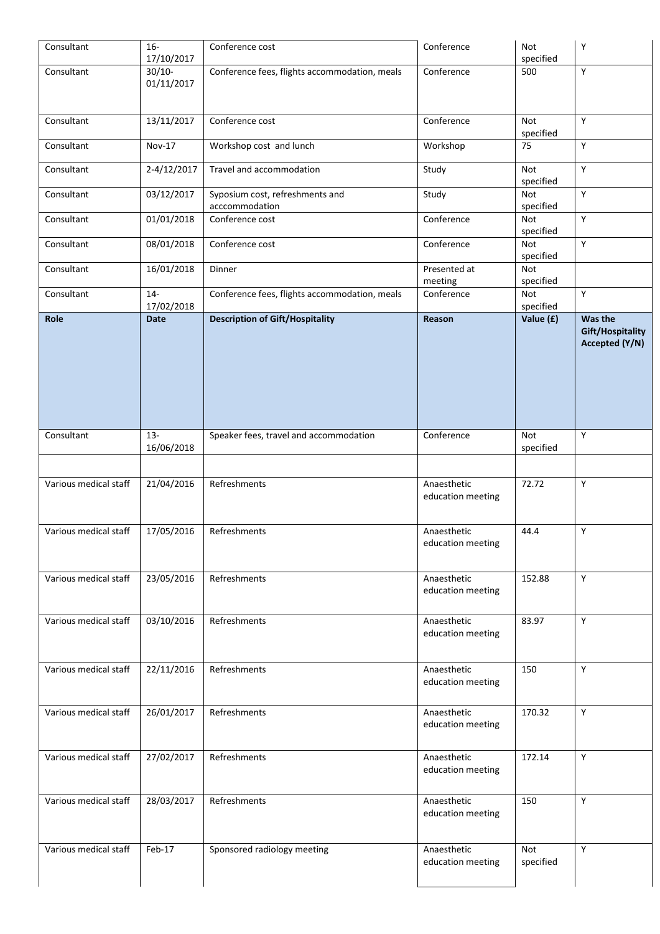| Consultant            | $16 -$<br>17/10/2017   | Conference cost                                   | Conference                       | Not<br>specified | Υ                                             |
|-----------------------|------------------------|---------------------------------------------------|----------------------------------|------------------|-----------------------------------------------|
| Consultant            | $30/10-$<br>01/11/2017 | Conference fees, flights accommodation, meals     | Conference                       | 500              | Υ                                             |
| Consultant            | 13/11/2017             | Conference cost                                   | Conference                       | Not<br>specified | Y                                             |
| Consultant            | Nov-17                 | Workshop cost and lunch                           | Workshop                         | 75               | Y                                             |
| Consultant            | 2-4/12/2017            | Travel and accommodation                          | Study                            | Not<br>specified | Y                                             |
| Consultant            | 03/12/2017             | Syposium cost, refreshments and<br>acccommodation | Study                            | Not<br>specified | Y                                             |
| Consultant            | 01/01/2018             | Conference cost                                   | Conference                       | Not<br>specified | Υ                                             |
| Consultant            | 08/01/2018             | Conference cost                                   | Conference                       | Not<br>specified | Y                                             |
| Consultant            | 16/01/2018             | Dinner                                            | Presented at<br>meeting          | Not<br>specified |                                               |
| Consultant            | $14-$<br>17/02/2018    | Conference fees, flights accommodation, meals     | Conference                       | Not<br>specified | Υ                                             |
| Role                  | <b>Date</b>            | <b>Description of Gift/Hospitality</b>            | Reason                           | Value (£)        | Was the<br>Gift/Hospitality<br>Accepted (Y/N) |
| Consultant            | $13 -$<br>16/06/2018   | Speaker fees, travel and accommodation            | Conference                       | Not<br>specified | Y                                             |
| Various medical staff | 21/04/2016             | Refreshments                                      | Anaesthetic<br>education meeting | 72.72            | Y                                             |
| Various medical staff | 17/05/2016             | Refreshments                                      | Anaesthetic<br>education meeting | 44.4             | Υ                                             |
| Various medical staff | 23/05/2016             | Refreshments                                      | Anaesthetic<br>education meeting | 152.88           | Y                                             |
| Various medical staff | 03/10/2016             | Refreshments                                      | Anaesthetic<br>education meeting | 83.97            | $\mathsf Y$                                   |
| Various medical staff | 22/11/2016             | Refreshments                                      | Anaesthetic<br>education meeting | 150              | $\mathsf Y$                                   |
| Various medical staff | 26/01/2017             | Refreshments                                      | Anaesthetic<br>education meeting | 170.32           | Y                                             |
|                       |                        |                                                   |                                  |                  |                                               |
| Various medical staff | 27/02/2017             | Refreshments                                      | Anaesthetic<br>education meeting | 172.14           | Y                                             |
| Various medical staff | 28/03/2017             | Refreshments                                      | Anaesthetic<br>education meeting | 150              | $\mathsf Y$                                   |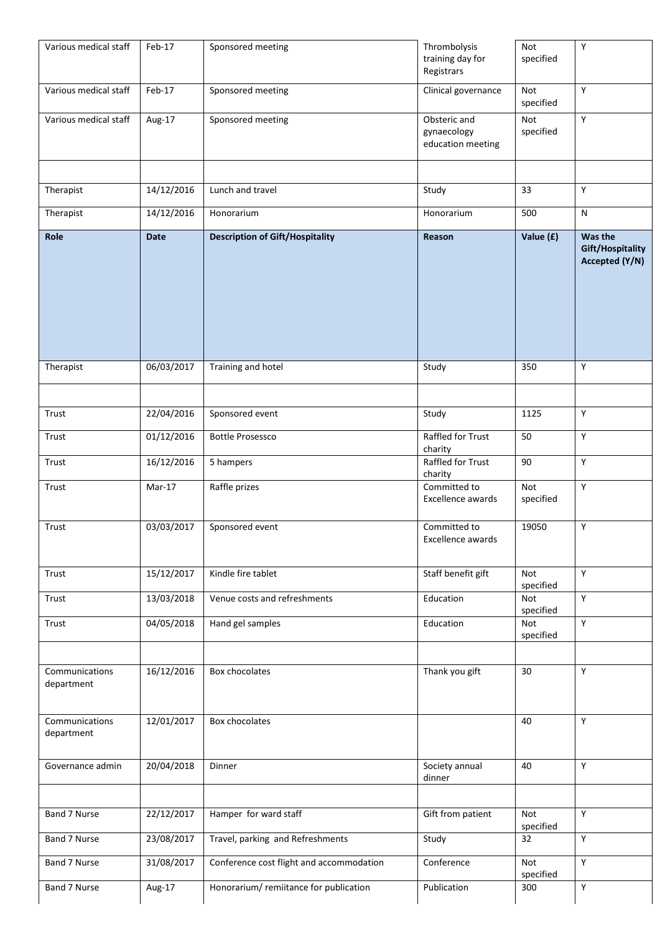| Various medical staff        | Feb-17      | Sponsored meeting                        | Thrombolysis<br>training day for<br>Registrars   | Not<br>specified        | $\mathsf Y$                                   |
|------------------------------|-------------|------------------------------------------|--------------------------------------------------|-------------------------|-----------------------------------------------|
| Various medical staff        | Feb-17      | Sponsored meeting                        | Clinical governance                              | Not<br>specified        | Y                                             |
| Various medical staff        | Aug-17      | Sponsored meeting                        | Obsteric and<br>gynaecology<br>education meeting | <b>Not</b><br>specified | $\overline{Y}$                                |
|                              |             |                                          |                                                  |                         |                                               |
| Therapist                    | 14/12/2016  | Lunch and travel                         | Study                                            | 33                      | Υ                                             |
| Therapist                    | 14/12/2016  | Honorarium                               | Honorarium                                       | 500                     | ${\sf N}$                                     |
| Role                         | <b>Date</b> | <b>Description of Gift/Hospitality</b>   | Reason                                           | Value (£)               | Was the<br>Gift/Hospitality<br>Accepted (Y/N) |
| Therapist                    | 06/03/2017  | Training and hotel                       | Study                                            | 350                     | Y                                             |
|                              |             |                                          |                                                  |                         |                                               |
| Trust                        | 22/04/2016  | Sponsored event                          | Study                                            | 1125                    | Υ                                             |
| Trust                        | 01/12/2016  | <b>Bottle Prosessco</b>                  | Raffled for Trust<br>charity                     | 50                      | Y                                             |
| Trust                        | 16/12/2016  | 5 hampers                                | Raffled for Trust<br>charity                     | 90                      | Υ                                             |
| Trust                        | Mar-17      | Raffle prizes                            | Committed to<br>Excellence awards                | Not<br>specified        | $\mathsf Y$                                   |
| Trust                        | 03/03/2017  | Sponsored event                          | Committed to<br>Excellence awards                | 19050                   | Υ                                             |
| Trust                        | 15/12/2017  | Kindle fire tablet                       | Staff benefit gift                               | Not<br>specified        | Y                                             |
| Trust                        | 13/03/2018  | Venue costs and refreshments             | Education                                        | Not<br>specified        | Υ                                             |
| Trust                        | 04/05/2018  | Hand gel samples                         | Education                                        | Not<br>specified        | Y                                             |
| Communications<br>department | 16/12/2016  | Box chocolates                           | Thank you gift                                   | 30                      | Υ                                             |
| Communications<br>department | 12/01/2017  | Box chocolates                           |                                                  | 40                      | Y                                             |
| Governance admin             | 20/04/2018  | Dinner                                   | Society annual<br>dinner                         | 40                      | $\mathsf Y$                                   |
|                              |             |                                          |                                                  |                         |                                               |
| Band 7 Nurse                 | 22/12/2017  | Hamper for ward staff                    | Gift from patient                                | <b>Not</b><br>specified | $\mathsf Y$                                   |
| Band 7 Nurse                 | 23/08/2017  | Travel, parking and Refreshments         | Study                                            | 32                      | Y                                             |
| Band 7 Nurse                 | 31/08/2017  | Conference cost flight and accommodation | Conference                                       | Not<br>specified        | $\mathsf Y$                                   |
| Band 7 Nurse                 | Aug-17      | Honorarium/remiitance for publication    | Publication                                      | 300                     | Y                                             |